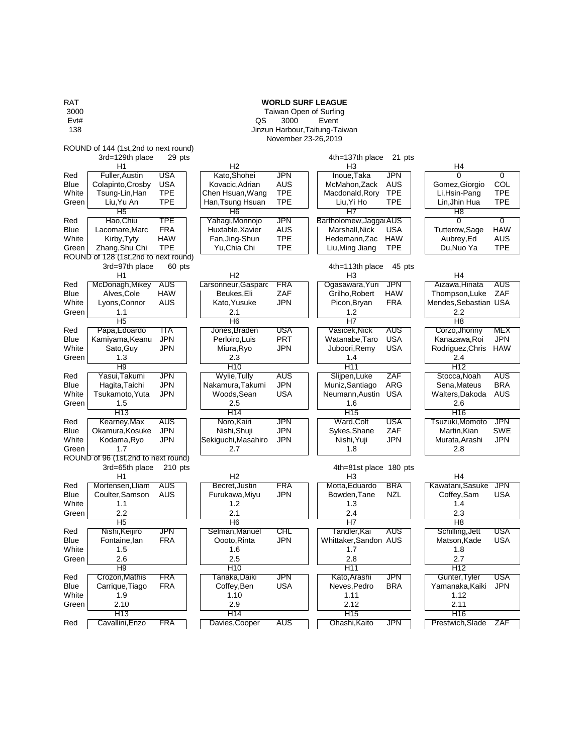RAT **WORLD SURF LEAGUE** 3000 Taiwan Open of Surfing<br>
Evt# Taiwan Open of Surfing Evt# QS 3000 Event 138 Jinzun Harbour,Taitung-Taiwan November 23-26,2019